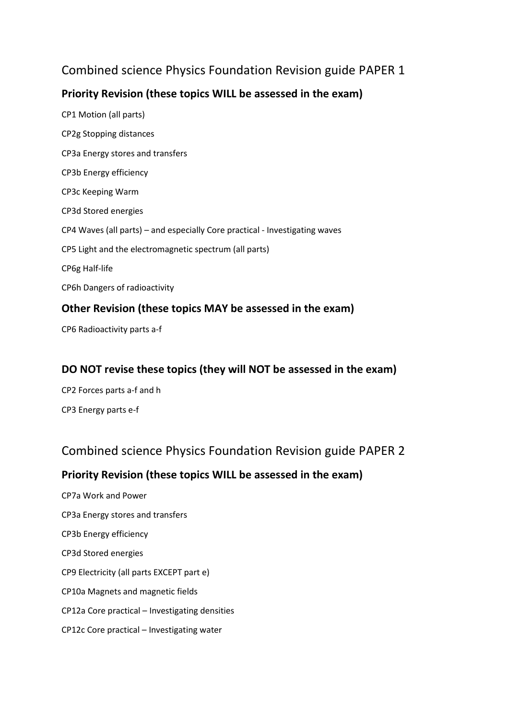# Combined science Physics Foundation Revision guide PAPER 1

# **Priority Revision (these topics WILL be assessed in the exam)**

CP1 Motion (all parts) CP2g Stopping distances CP3a Energy stores and transfers CP3b Energy efficiency CP3c Keeping Warm CP3d Stored energies CP4 Waves (all parts) – and especially Core practical - Investigating waves CP5 Light and the electromagnetic spectrum (all parts) CP6g Half-life CP6h Dangers of radioactivity **Other Revision (these topics MAY be assessed in the exam)**

# CP6 Radioactivity parts a-f

#### **DO NOT revise these topics (they will NOT be assessed in the exam)**

CP2 Forces parts a-f and h CP3 Energy parts e-f

### Combined science Physics Foundation Revision guide PAPER 2

### **Priority Revision (these topics WILL be assessed in the exam)**

CP7a Work and Power CP3a Energy stores and transfers CP3b Energy efficiency CP3d Stored energies CP9 Electricity (all parts EXCEPT part e) CP10a Magnets and magnetic fields CP12a Core practical – Investigating densities CP12c Core practical – Investigating water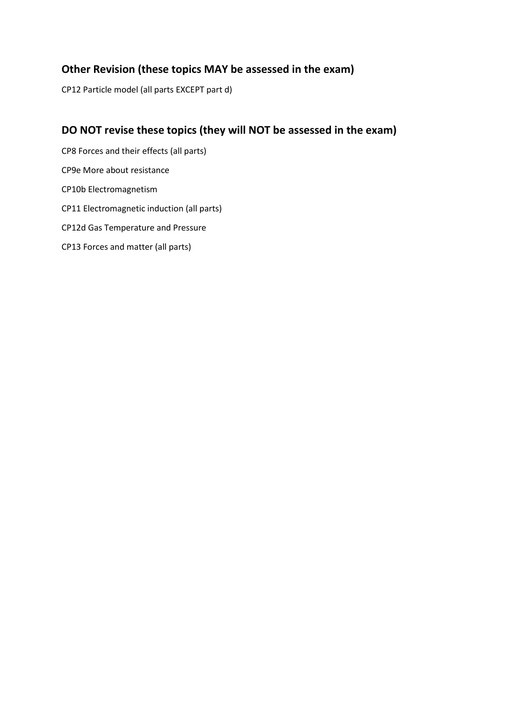### **Other Revision (these topics MAY be assessed in the exam)**

CP12 Particle model (all parts EXCEPT part d)

# **DO NOT revise these topics (they will NOT be assessed in the exam)**

CP8 Forces and their effects (all parts) CP9e More about resistance CP10b Electromagnetism CP11 Electromagnetic induction (all parts) CP12d Gas Temperature and Pressure CP13 Forces and matter (all parts)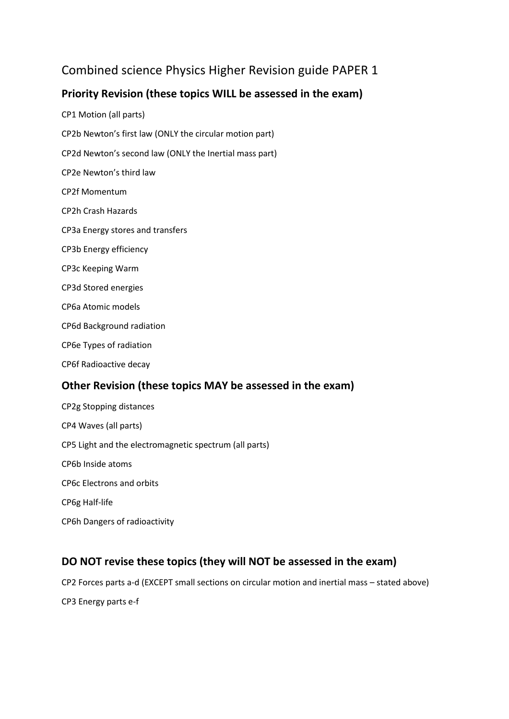# Combined science Physics Higher Revision guide PAPER 1

# **Priority Revision (these topics WILL be assessed in the exam)**

- CP1 Motion (all parts) CP2b Newton's first law (ONLY the circular motion part) CP2d Newton's second law (ONLY the Inertial mass part) CP2e Newton's third law CP2f Momentum CP2h Crash Hazards CP3a Energy stores and transfers CP3b Energy efficiency CP3c Keeping Warm CP3d Stored energies CP6a Atomic models CP6d Background radiation CP6e Types of radiation CP6f Radioactive decay **Other Revision (these topics MAY be assessed in the exam)** CP2g Stopping distances CP4 Waves (all parts)
- CP5 Light and the electromagnetic spectrum (all parts)
- CP6b Inside atoms
- CP6c Electrons and orbits
- CP6g Half-life
- CP6h Dangers of radioactivity

### **DO NOT revise these topics (they will NOT be assessed in the exam)**

CP2 Forces parts a-d (EXCEPT small sections on circular motion and inertial mass – stated above) CP3 Energy parts e-f